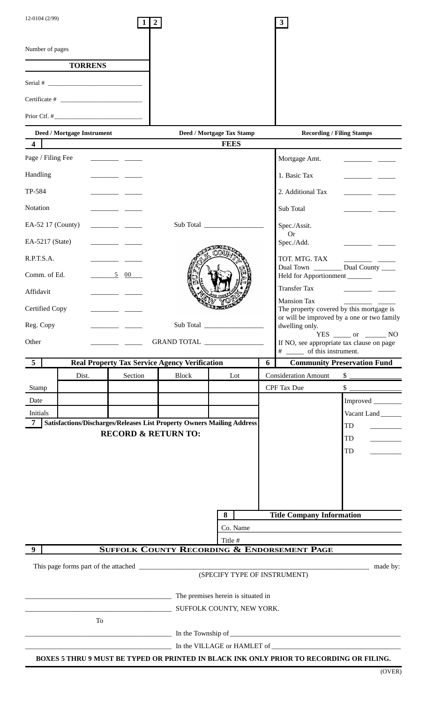| Number of pages<br><b>TORRENS</b><br>Serial # $\qquad$<br>Certificate #<br>Prior Ctf. $\#$<br>Deed / Mortgage Instrument<br>Deed / Mortgage Tax Stamp<br><b>Recording / Filing Stamps</b><br><b>FEES</b><br>$\overline{\mathbf{4}}$<br>Page / Filing Fee<br>Mortgage Amt.<br>$\begin{tabular}{ll} \multicolumn{1}{l}{} & \multicolumn{1}{l}{} & \multicolumn{1}{l}{} \\ \multicolumn{1}{l}{} & \multicolumn{1}{l}{} & \multicolumn{1}{l}{} \\ \multicolumn{1}{l}{} & \multicolumn{1}{l}{} & \multicolumn{1}{l}{} \\ \multicolumn{1}{l}{} & \multicolumn{1}{l}{} \\ \multicolumn{1}{l}{} & \multicolumn{1}{l}{} \\ \multicolumn{1}{l}{} & \multicolumn{1}{l}{} \\ \multicolumn{1}{l}{} & \multicolumn{1}{l}{} \\ \multicolumn{1}{l}{} & \multicolumn{1}{l}{} \\ \multic$<br>Handling<br>1. Basic Tax<br>TP-584<br>2. Additional Tax<br>Notation<br>Sub Total<br>Sub Total<br>EA-52 17 (County)<br>Spec./Assit.<br><b>Or</b><br>EA-5217 (State)<br>Spec./Add.<br>R.P.T.S.A.<br>TOT. MTG. TAX<br>Dual Town ________ Dual County ____<br>5 00<br>Comm. of Ed.<br>Held for Apportionment<br><b>Transfer Tax</b><br>Affidavit<br><b>Mansion Tax</b><br>Certified Copy<br>The property covered by this mortgage is<br>or will be improved by a one or two family<br>Sub Total<br>Reg. Copy<br>dwelling only.<br>Other<br>GRAND TOTAL<br>If NO, see appropriate tax clause on page<br># ______ of this instrument.<br><b>Community Preservation Fund</b><br>$\overline{5}$<br><b>Real Property Tax Service Agency Verification</b><br>6<br>Section<br>Dist.<br><b>Block</b><br><b>Consideration Amount</b><br>Lot | $\frac{1}{1-\frac{1}{1-\frac{1}{1-\frac{1}{1-\frac{1}{1-\frac{1}{1-\frac{1}{1-\frac{1}{1-\frac{1}{1-\frac{1}{1-\frac{1}{1-\frac{1}{1-\frac{1}{1-\frac{1}{1-\frac{1}{1-\frac{1}{1-\frac{1}{1-\frac{1}{1-\frac{1}{1-\frac{1}{1-\frac{1}{1-\frac{1}{1-\frac{1}{1-\frac{1}{1-\frac{1}{1-\frac{1}{1-\frac{1}{1-\frac{1}{1-\frac{1}{1-\frac{1}{1-\frac{1}{1-\frac{1}{1-\frac{1}{1-\frac{1}{1-\frac{1}{1-\frac{1}{1-\frac{1$<br><u>and a strong strong part</u> |
|-----------------------------------------------------------------------------------------------------------------------------------------------------------------------------------------------------------------------------------------------------------------------------------------------------------------------------------------------------------------------------------------------------------------------------------------------------------------------------------------------------------------------------------------------------------------------------------------------------------------------------------------------------------------------------------------------------------------------------------------------------------------------------------------------------------------------------------------------------------------------------------------------------------------------------------------------------------------------------------------------------------------------------------------------------------------------------------------------------------------------------------------------------------------------------------------------------------------------------------------------------------------------------------------------------------------------------------------------------------------------------------------------------------------------------------------------------------------------------------------------------------------------------------------------------------------------------------------------------------|----------------------------------------------------------------------------------------------------------------------------------------------------------------------------------------------------------------------------------------------------------------------------------------------------------------------------------------------------------------------------------------------------------------------------------------------------------|
|                                                                                                                                                                                                                                                                                                                                                                                                                                                                                                                                                                                                                                                                                                                                                                                                                                                                                                                                                                                                                                                                                                                                                                                                                                                                                                                                                                                                                                                                                                                                                                                                           |                                                                                                                                                                                                                                                                                                                                                                                                                                                          |
|                                                                                                                                                                                                                                                                                                                                                                                                                                                                                                                                                                                                                                                                                                                                                                                                                                                                                                                                                                                                                                                                                                                                                                                                                                                                                                                                                                                                                                                                                                                                                                                                           |                                                                                                                                                                                                                                                                                                                                                                                                                                                          |
|                                                                                                                                                                                                                                                                                                                                                                                                                                                                                                                                                                                                                                                                                                                                                                                                                                                                                                                                                                                                                                                                                                                                                                                                                                                                                                                                                                                                                                                                                                                                                                                                           |                                                                                                                                                                                                                                                                                                                                                                                                                                                          |
|                                                                                                                                                                                                                                                                                                                                                                                                                                                                                                                                                                                                                                                                                                                                                                                                                                                                                                                                                                                                                                                                                                                                                                                                                                                                                                                                                                                                                                                                                                                                                                                                           |                                                                                                                                                                                                                                                                                                                                                                                                                                                          |
|                                                                                                                                                                                                                                                                                                                                                                                                                                                                                                                                                                                                                                                                                                                                                                                                                                                                                                                                                                                                                                                                                                                                                                                                                                                                                                                                                                                                                                                                                                                                                                                                           |                                                                                                                                                                                                                                                                                                                                                                                                                                                          |
|                                                                                                                                                                                                                                                                                                                                                                                                                                                                                                                                                                                                                                                                                                                                                                                                                                                                                                                                                                                                                                                                                                                                                                                                                                                                                                                                                                                                                                                                                                                                                                                                           |                                                                                                                                                                                                                                                                                                                                                                                                                                                          |
|                                                                                                                                                                                                                                                                                                                                                                                                                                                                                                                                                                                                                                                                                                                                                                                                                                                                                                                                                                                                                                                                                                                                                                                                                                                                                                                                                                                                                                                                                                                                                                                                           |                                                                                                                                                                                                                                                                                                                                                                                                                                                          |
|                                                                                                                                                                                                                                                                                                                                                                                                                                                                                                                                                                                                                                                                                                                                                                                                                                                                                                                                                                                                                                                                                                                                                                                                                                                                                                                                                                                                                                                                                                                                                                                                           |                                                                                                                                                                                                                                                                                                                                                                                                                                                          |
|                                                                                                                                                                                                                                                                                                                                                                                                                                                                                                                                                                                                                                                                                                                                                                                                                                                                                                                                                                                                                                                                                                                                                                                                                                                                                                                                                                                                                                                                                                                                                                                                           |                                                                                                                                                                                                                                                                                                                                                                                                                                                          |
|                                                                                                                                                                                                                                                                                                                                                                                                                                                                                                                                                                                                                                                                                                                                                                                                                                                                                                                                                                                                                                                                                                                                                                                                                                                                                                                                                                                                                                                                                                                                                                                                           |                                                                                                                                                                                                                                                                                                                                                                                                                                                          |
|                                                                                                                                                                                                                                                                                                                                                                                                                                                                                                                                                                                                                                                                                                                                                                                                                                                                                                                                                                                                                                                                                                                                                                                                                                                                                                                                                                                                                                                                                                                                                                                                           |                                                                                                                                                                                                                                                                                                                                                                                                                                                          |
|                                                                                                                                                                                                                                                                                                                                                                                                                                                                                                                                                                                                                                                                                                                                                                                                                                                                                                                                                                                                                                                                                                                                                                                                                                                                                                                                                                                                                                                                                                                                                                                                           |                                                                                                                                                                                                                                                                                                                                                                                                                                                          |
|                                                                                                                                                                                                                                                                                                                                                                                                                                                                                                                                                                                                                                                                                                                                                                                                                                                                                                                                                                                                                                                                                                                                                                                                                                                                                                                                                                                                                                                                                                                                                                                                           |                                                                                                                                                                                                                                                                                                                                                                                                                                                          |
|                                                                                                                                                                                                                                                                                                                                                                                                                                                                                                                                                                                                                                                                                                                                                                                                                                                                                                                                                                                                                                                                                                                                                                                                                                                                                                                                                                                                                                                                                                                                                                                                           |                                                                                                                                                                                                                                                                                                                                                                                                                                                          |
|                                                                                                                                                                                                                                                                                                                                                                                                                                                                                                                                                                                                                                                                                                                                                                                                                                                                                                                                                                                                                                                                                                                                                                                                                                                                                                                                                                                                                                                                                                                                                                                                           |                                                                                                                                                                                                                                                                                                                                                                                                                                                          |
|                                                                                                                                                                                                                                                                                                                                                                                                                                                                                                                                                                                                                                                                                                                                                                                                                                                                                                                                                                                                                                                                                                                                                                                                                                                                                                                                                                                                                                                                                                                                                                                                           |                                                                                                                                                                                                                                                                                                                                                                                                                                                          |
|                                                                                                                                                                                                                                                                                                                                                                                                                                                                                                                                                                                                                                                                                                                                                                                                                                                                                                                                                                                                                                                                                                                                                                                                                                                                                                                                                                                                                                                                                                                                                                                                           |                                                                                                                                                                                                                                                                                                                                                                                                                                                          |
|                                                                                                                                                                                                                                                                                                                                                                                                                                                                                                                                                                                                                                                                                                                                                                                                                                                                                                                                                                                                                                                                                                                                                                                                                                                                                                                                                                                                                                                                                                                                                                                                           |                                                                                                                                                                                                                                                                                                                                                                                                                                                          |
|                                                                                                                                                                                                                                                                                                                                                                                                                                                                                                                                                                                                                                                                                                                                                                                                                                                                                                                                                                                                                                                                                                                                                                                                                                                                                                                                                                                                                                                                                                                                                                                                           |                                                                                                                                                                                                                                                                                                                                                                                                                                                          |
|                                                                                                                                                                                                                                                                                                                                                                                                                                                                                                                                                                                                                                                                                                                                                                                                                                                                                                                                                                                                                                                                                                                                                                                                                                                                                                                                                                                                                                                                                                                                                                                                           | $YES$ ______ or _________ NO                                                                                                                                                                                                                                                                                                                                                                                                                             |
|                                                                                                                                                                                                                                                                                                                                                                                                                                                                                                                                                                                                                                                                                                                                                                                                                                                                                                                                                                                                                                                                                                                                                                                                                                                                                                                                                                                                                                                                                                                                                                                                           |                                                                                                                                                                                                                                                                                                                                                                                                                                                          |
|                                                                                                                                                                                                                                                                                                                                                                                                                                                                                                                                                                                                                                                                                                                                                                                                                                                                                                                                                                                                                                                                                                                                                                                                                                                                                                                                                                                                                                                                                                                                                                                                           |                                                                                                                                                                                                                                                                                                                                                                                                                                                          |
| CPF Tax Due<br>Stamp                                                                                                                                                                                                                                                                                                                                                                                                                                                                                                                                                                                                                                                                                                                                                                                                                                                                                                                                                                                                                                                                                                                                                                                                                                                                                                                                                                                                                                                                                                                                                                                      | $\frac{1}{1}$                                                                                                                                                                                                                                                                                                                                                                                                                                            |
| Date                                                                                                                                                                                                                                                                                                                                                                                                                                                                                                                                                                                                                                                                                                                                                                                                                                                                                                                                                                                                                                                                                                                                                                                                                                                                                                                                                                                                                                                                                                                                                                                                      | Improved _______                                                                                                                                                                                                                                                                                                                                                                                                                                         |
| <b>Initials</b>                                                                                                                                                                                                                                                                                                                                                                                                                                                                                                                                                                                                                                                                                                                                                                                                                                                                                                                                                                                                                                                                                                                                                                                                                                                                                                                                                                                                                                                                                                                                                                                           | Vacant Land                                                                                                                                                                                                                                                                                                                                                                                                                                              |
| <b>Satisfactions/Discharges/Releases List Property Owners Mailing Address</b><br>$\overline{7}$<br>TD                                                                                                                                                                                                                                                                                                                                                                                                                                                                                                                                                                                                                                                                                                                                                                                                                                                                                                                                                                                                                                                                                                                                                                                                                                                                                                                                                                                                                                                                                                     |                                                                                                                                                                                                                                                                                                                                                                                                                                                          |
| <b>RECORD &amp; RETURN TO:</b><br>TD                                                                                                                                                                                                                                                                                                                                                                                                                                                                                                                                                                                                                                                                                                                                                                                                                                                                                                                                                                                                                                                                                                                                                                                                                                                                                                                                                                                                                                                                                                                                                                      |                                                                                                                                                                                                                                                                                                                                                                                                                                                          |
| TD                                                                                                                                                                                                                                                                                                                                                                                                                                                                                                                                                                                                                                                                                                                                                                                                                                                                                                                                                                                                                                                                                                                                                                                                                                                                                                                                                                                                                                                                                                                                                                                                        |                                                                                                                                                                                                                                                                                                                                                                                                                                                          |
|                                                                                                                                                                                                                                                                                                                                                                                                                                                                                                                                                                                                                                                                                                                                                                                                                                                                                                                                                                                                                                                                                                                                                                                                                                                                                                                                                                                                                                                                                                                                                                                                           |                                                                                                                                                                                                                                                                                                                                                                                                                                                          |
|                                                                                                                                                                                                                                                                                                                                                                                                                                                                                                                                                                                                                                                                                                                                                                                                                                                                                                                                                                                                                                                                                                                                                                                                                                                                                                                                                                                                                                                                                                                                                                                                           |                                                                                                                                                                                                                                                                                                                                                                                                                                                          |
|                                                                                                                                                                                                                                                                                                                                                                                                                                                                                                                                                                                                                                                                                                                                                                                                                                                                                                                                                                                                                                                                                                                                                                                                                                                                                                                                                                                                                                                                                                                                                                                                           |                                                                                                                                                                                                                                                                                                                                                                                                                                                          |
| <b>Title Company Information</b><br>8                                                                                                                                                                                                                                                                                                                                                                                                                                                                                                                                                                                                                                                                                                                                                                                                                                                                                                                                                                                                                                                                                                                                                                                                                                                                                                                                                                                                                                                                                                                                                                     |                                                                                                                                                                                                                                                                                                                                                                                                                                                          |
| Co. Name                                                                                                                                                                                                                                                                                                                                                                                                                                                                                                                                                                                                                                                                                                                                                                                                                                                                                                                                                                                                                                                                                                                                                                                                                                                                                                                                                                                                                                                                                                                                                                                                  |                                                                                                                                                                                                                                                                                                                                                                                                                                                          |
| Title #                                                                                                                                                                                                                                                                                                                                                                                                                                                                                                                                                                                                                                                                                                                                                                                                                                                                                                                                                                                                                                                                                                                                                                                                                                                                                                                                                                                                                                                                                                                                                                                                   |                                                                                                                                                                                                                                                                                                                                                                                                                                                          |
| <b>SUFFOLK COUNTY RECORDING &amp; ENDORSEMENT PAGE</b><br>9                                                                                                                                                                                                                                                                                                                                                                                                                                                                                                                                                                                                                                                                                                                                                                                                                                                                                                                                                                                                                                                                                                                                                                                                                                                                                                                                                                                                                                                                                                                                               |                                                                                                                                                                                                                                                                                                                                                                                                                                                          |
|                                                                                                                                                                                                                                                                                                                                                                                                                                                                                                                                                                                                                                                                                                                                                                                                                                                                                                                                                                                                                                                                                                                                                                                                                                                                                                                                                                                                                                                                                                                                                                                                           | made by:                                                                                                                                                                                                                                                                                                                                                                                                                                                 |
| (SPECIFY TYPE OF INSTRUMENT)                                                                                                                                                                                                                                                                                                                                                                                                                                                                                                                                                                                                                                                                                                                                                                                                                                                                                                                                                                                                                                                                                                                                                                                                                                                                                                                                                                                                                                                                                                                                                                              |                                                                                                                                                                                                                                                                                                                                                                                                                                                          |
| The premises herein is situated in                                                                                                                                                                                                                                                                                                                                                                                                                                                                                                                                                                                                                                                                                                                                                                                                                                                                                                                                                                                                                                                                                                                                                                                                                                                                                                                                                                                                                                                                                                                                                                        |                                                                                                                                                                                                                                                                                                                                                                                                                                                          |
| SUFFOLK COUNTY, NEW YORK.                                                                                                                                                                                                                                                                                                                                                                                                                                                                                                                                                                                                                                                                                                                                                                                                                                                                                                                                                                                                                                                                                                                                                                                                                                                                                                                                                                                                                                                                                                                                                                                 |                                                                                                                                                                                                                                                                                                                                                                                                                                                          |
| To                                                                                                                                                                                                                                                                                                                                                                                                                                                                                                                                                                                                                                                                                                                                                                                                                                                                                                                                                                                                                                                                                                                                                                                                                                                                                                                                                                                                                                                                                                                                                                                                        |                                                                                                                                                                                                                                                                                                                                                                                                                                                          |
| In the Township of                                                                                                                                                                                                                                                                                                                                                                                                                                                                                                                                                                                                                                                                                                                                                                                                                                                                                                                                                                                                                                                                                                                                                                                                                                                                                                                                                                                                                                                                                                                                                                                        |                                                                                                                                                                                                                                                                                                                                                                                                                                                          |
| In the VILLAGE or HAMLET of<br>BOXES 5 THRU 9 MUST BE TYPED OR PRINTED IN BLACK INK ONLY PRIOR TO RECORDING OR FILING.                                                                                                                                                                                                                                                                                                                                                                                                                                                                                                                                                                                                                                                                                                                                                                                                                                                                                                                                                                                                                                                                                                                                                                                                                                                                                                                                                                                                                                                                                    |                                                                                                                                                                                                                                                                                                                                                                                                                                                          |

(OVER)